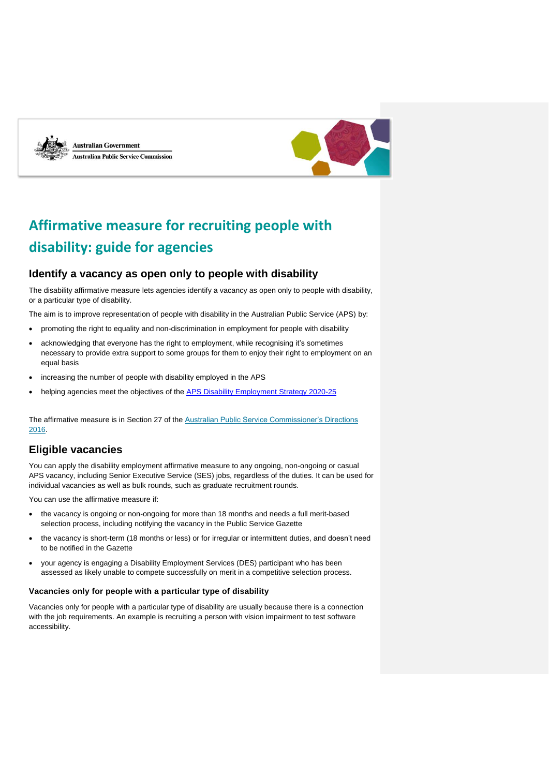

**Australian Government Australian Public Service Commission** 



# **Affirmative measure for recruiting people with disability: guide for agencies**

# **Identify a vacancy as open only to people with disability**

The disability affirmative measure lets agencies identify a vacancy as open only to people with disability, or a particular type of disability.

The aim is to improve representation of people with disability in the Australian Public Service (APS) by:

- promoting the right to equality and non-discrimination in employment for people with disability
- acknowledging that everyone has the right to employment, while recognising it's sometimes necessary to provide extra support to some groups for them to enjoy their right to employment on an equal basis
- increasing the number of people with disability employed in the APS
- helping agencies meet the objectives of the [APS Disability Employment Strategy 2020-25](https://www.apsc.gov.au/publication/australian-public-service-disability-employment-strategy-2020-25)

The affirmative measure is in Section 27 of the [Australian Public Service Commissioner's Directions](https://www.legislation.gov.au/Details/F2016L01430)  [2016.](https://www.legislation.gov.au/Details/F2016L01430)

# **Eligible vacancies**

You can apply the disability employment affirmative measure to any ongoing, non-ongoing or casual APS vacancy, including Senior Executive Service (SES) jobs, regardless of the duties. It can be used for individual vacancies as well as bulk rounds, such as graduate recruitment rounds.

You can use the affirmative measure if:

- the vacancy is ongoing or non-ongoing for more than 18 months and needs a full merit-based selection process, including notifying the vacancy in the Public Service Gazette
- the vacancy is short-term (18 months or less) or for irregular or intermittent duties, and doesn't need to be notified in the Gazette
- your agency is engaging a Disability Employment Services (DES) participant who has been assessed as likely unable to compete successfully on merit in a competitive selection process.

#### **Vacancies only for people with a particular type of disability**

Vacancies only for people with a particular type of disability are usually because there is a connection with the job requirements. An example is recruiting a person with vision impairment to test software accessibility.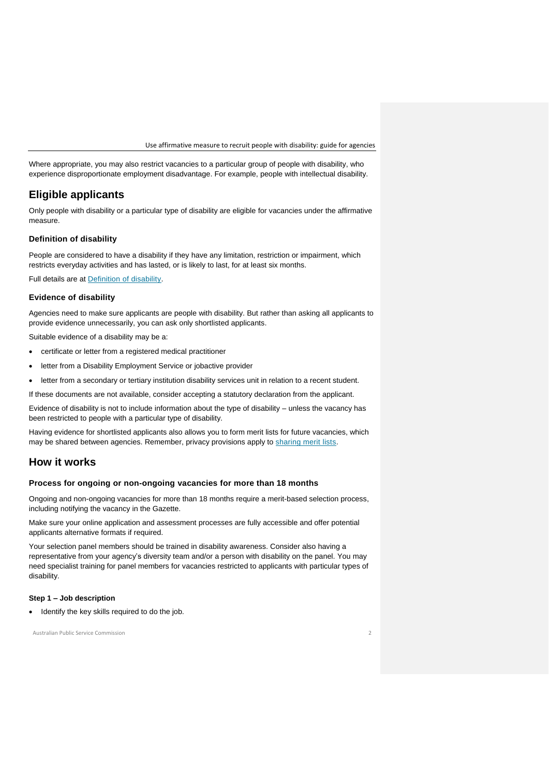Where appropriate, you may also restrict vacancies to a particular group of people with disability, who experience disproportionate employment disadvantage. For example, people with intellectual disability.

# **Eligible applicants**

Only people with disability or a particular type of disability are eligible for vacancies under the affirmative measure.

# **Definition of disability**

People are considered to have a disability if they have any limitation, restriction or impairment, which restricts everyday activities and has lasted, or is likely to last, for at least six months.

Full details are at [Definition of disability.](https://www.apsc.gov.au/working-aps/diversity-and-inclusion/disability/definition-disability)

# **Evidence of disability**

Agencies need to make sure applicants are people with disability. But rather than asking all applicants to provide evidence unnecessarily, you can ask only shortlisted applicants.

Suitable evidence of a disability may be a:

- certificate or letter from a registered medical practitioner
- letter from a Disability Employment Service or jobactive provider
- letter from a secondary or tertiary institution disability services unit in relation to a recent student.

If these documents are not available, consider accepting a statutory declaration from the applicant.

Evidence of disability is not to include information about the type of disability – unless the vacancy has been restricted to people with a particular type of disability.

Having evidence for shortlisted applicants also allows you to form merit lists for future vacancies, which may be shared between agencies. Remember, privacy provisions apply to [sharing merit lists.](https://www.apsc.gov.au/working-aps/aps-employees-and-managers/guidance-and-information-recruitment/creating-using-and-sharing-merit-lists)

# **How it works**

## **Process for ongoing or non-ongoing vacancies for more than 18 months**

Ongoing and non-ongoing vacancies for more than 18 months require a merit-based selection process, including notifying the vacancy in the Gazette.

Make sure your online application and assessment processes are fully accessible and offer potential applicants alternative formats if required.

Your selection panel members should be trained in disability awareness. Consider also having a representative from your agency's diversity team and/or a person with disability on the panel. You may need specialist training for panel members for vacancies restricted to applicants with particular types of disability.

#### **Step 1 – Job description**

• Identify the key skills required to do the job.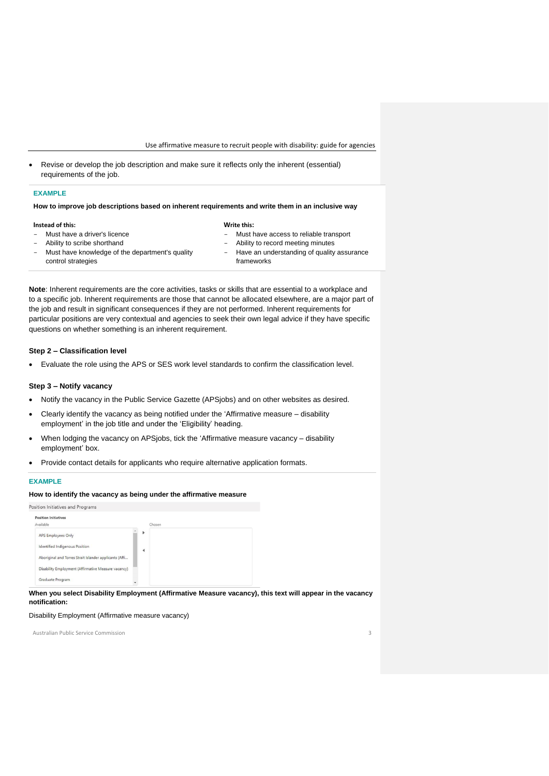Revise or develop the job description and make sure it reflects only the inherent (essential) requirements of the job.

#### **EXAMPLE**

#### **How to improve job descriptions based on inherent requirements and write them in an inclusive way**

| Instead of this:                                                                                                                       | Write this:                                                                                                                                   |
|----------------------------------------------------------------------------------------------------------------------------------------|-----------------------------------------------------------------------------------------------------------------------------------------------|
| Must have a driver's licence<br>- Ability to scribe shorthand<br>Must have knowledge of the department's quality<br>control strategies | - Must have access to reliable transport<br>- Ability to record meeting minutes<br>- Have an understanding of quality assurance<br>frameworks |
|                                                                                                                                        |                                                                                                                                               |

**Note**: Inherent requirements are the core activities, tasks or skills that are essential to a workplace and to a specific job. Inherent requirements are those that cannot be allocated elsewhere, are a major part of the job and result in significant consequences if they are not performed. Inherent requirements for particular positions are very contextual and agencies to seek their own legal advice if they have specific questions on whether something is an inherent requirement.

#### **Step 2 – Classification level**

Evaluate the role using the APS or SES work level standards to confirm the classification level.

#### **Step 3 – Notify vacancy**

- Notify the vacancy in the Public Service Gazette (APSjobs) and on other websites as desired.
- Clearly identify the vacancy as being notified under the 'Affirmative measure disability employment' in the job title and under the 'Eligibility' heading.
- When lodging the vacancy on APSjobs, tick the 'Affirmative measure vacancy disability employment' box.
- Provide contact details for applicants who require alternative application formats.

#### **EXAMPLE**

#### **How to identify the vacancy as being under the affirmative measure**

| osition Initiatives and Programs                       |                      |  |
|--------------------------------------------------------|----------------------|--|
| <b>Position Initiatives</b><br>Available               | Chosen               |  |
|                                                        | Þ                    |  |
| <b>APS Employees Only</b>                              |                      |  |
| Identified Indigenous Position                         | $\blacktriangleleft$ |  |
| Aboriginal and Torres Strait Islander applicants (Affi |                      |  |
| Disability Employment (Affirmative Measure vacancy)    |                      |  |
| Graduate Program                                       |                      |  |

## **When you select Disability Employment (Affirmative Measure vacancy), this text will appear in the vacancy notification:**

#### Disability Employment (Affirmative measure vacancy)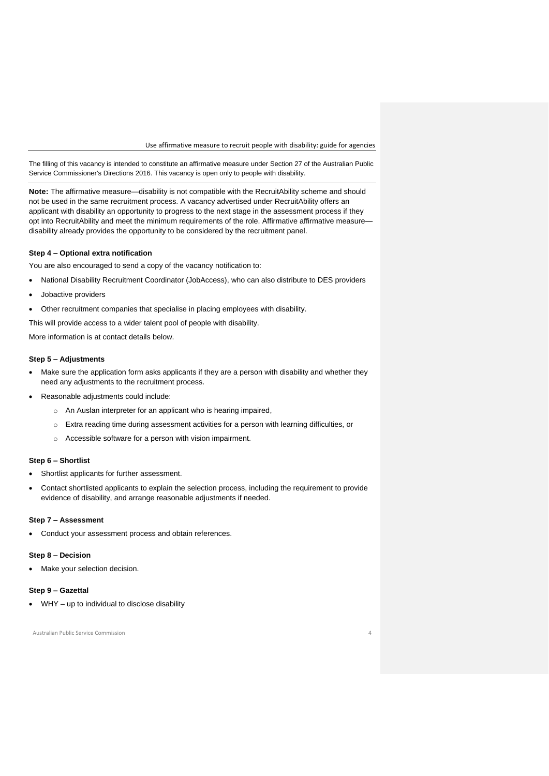Use affirmative measure to recruit people with disability: guide for agencies

The filling of this vacancy is intended to constitute an affirmative measure under Section 27 of the Australian Public Service Commissioner's Directions 2016. This vacancy is open only to people with disability.

**Note:** The affirmative measure—disability is not compatible with the RecruitAbility scheme and should not be used in the same recruitment process. A vacancy advertised under RecruitAbility offers an applicant with disability an opportunity to progress to the next stage in the assessment process if they opt into RecruitAbility and meet the minimum requirements of the role. Affirmative affirmative measure disability already provides the opportunity to be considered by the recruitment panel.

#### **Step 4 – Optional extra notification**

You are also encouraged to send a copy of the vacancy notification to:

- National Disability Recruitment Coordinator (JobAccess), who can also distribute to DES providers
- Jobactive providers
- Other recruitment companies that specialise in placing employees with disability.

This will provide access to a wider talent pool of people with disability.

More information is at contact details below.

## **Step 5 – Adjustments**

- Make sure the application form asks applicants if they are a person with disability and whether they need any adjustments to the recruitment process.
- Reasonable adjustments could include:
	- o An Auslan interpreter for an applicant who is hearing impaired,
	- $\circ$  Extra reading time during assessment activities for a person with learning difficulties, or
	- o Accessible software for a person with vision impairment.

#### **Step 6 – Shortlist**

- Shortlist applicants for further assessment.
- Contact shortlisted applicants to explain the selection process, including the requirement to provide evidence of disability, and arrange reasonable adjustments if needed.

#### **Step 7 – Assessment**

• Conduct your assessment process and obtain references.

#### **Step 8 – Decision**

Make your selection decision.

# **Step 9 – Gazettal**

WHY – up to individual to disclose disability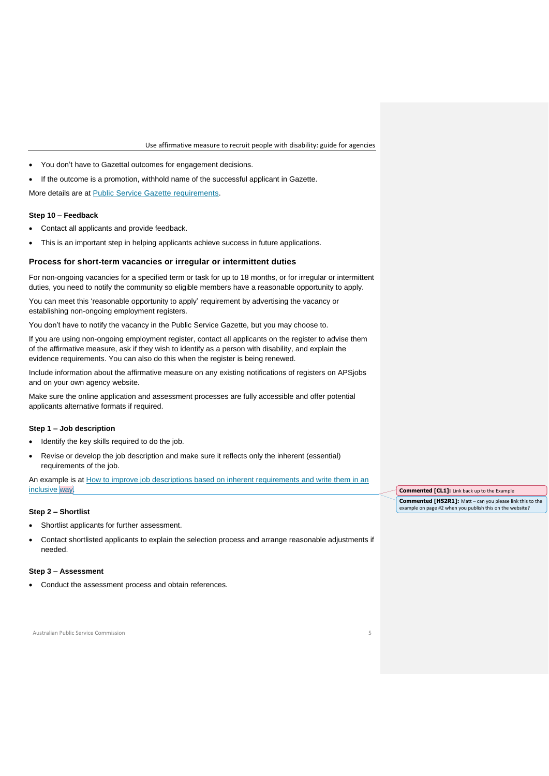Use affirmative measure to recruit people with disability: guide for agencies

- You don't have to Gazettal outcomes for engagement decisions.
- If the outcome is a promotion, withhold name of the successful applicant in Gazette.

More details are at **Public Service Gazette requirements**.

#### **Step 10 – Feedback**

- Contact all applicants and provide feedback.
- This is an important step in helping applicants achieve success in future applications.

#### **Process for short-term vacancies or irregular or intermittent duties**

For non-ongoing vacancies for a specified term or task for up to 18 months, or for irregular or intermittent duties, you need to notify the community so eligible members have a reasonable opportunity to apply.

You can meet this 'reasonable opportunity to apply' requirement by advertising the vacancy or establishing non-ongoing employment registers.

You don't have to notify the vacancy in the Public Service Gazette, but you may choose to.

If you are using non-ongoing employment register, contact all applicants on the register to advise them of the affirmative measure, ask if they wish to identify as a person with disability, and explain the evidence requirements. You can also do this when the register is being renewed.

Include information about the affirmative measure on any existing notifications of registers on APSjobs and on your own agency website.

Make sure the online application and assessment processes are fully accessible and offer potential applicants alternative formats if required.

#### **Step 1 – Job description**

- Identify the key skills required to do the job.
- Revise or develop the job description and make sure it reflects only the inherent (essential) requirements of the job.

An example is at How to improve job descriptions based on inherent requirements and write them in an inclusive way.

#### **Step 2 – Shortlist**

- Shortlist applicants for further assessment.
- Contact shortlisted applicants to explain the selection process and arrange reasonable adjustments if needed.

#### **Step 3 – Assessment**

Conduct the assessment process and obtain references.

Australian Public Service Commission 5

**Commented [CL1]:** Link back up to the Example **Commented [HS2R1]:** Matt – can you please link this to the example on page #2 when you publish this on the website?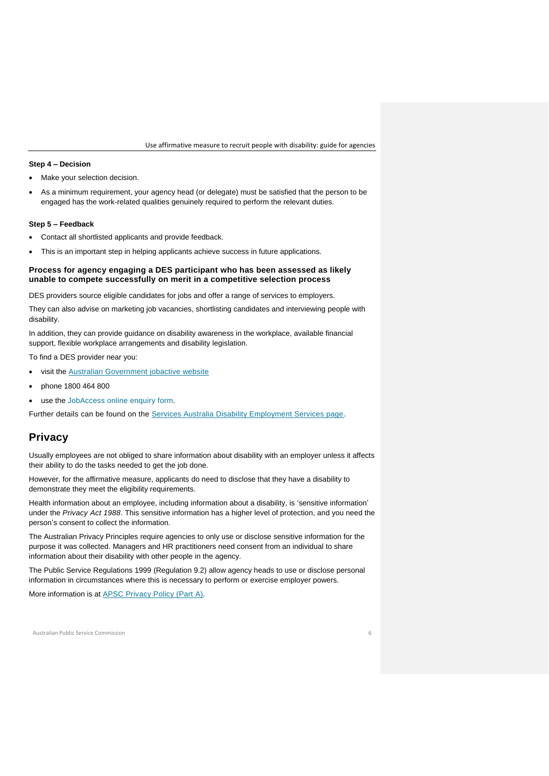Use affirmative measure to recruit people with disability: guide for agencies

#### **Step 4 – Decision**

Make your selection decision.

 As a minimum requirement, your agency head (or delegate) must be satisfied that the person to be engaged has the work-related qualities genuinely required to perform the relevant duties.

#### **Step 5 – Feedback**

- Contact all shortlisted applicants and provide feedback.
- This is an important step in helping applicants achieve success in future applications.

# **Process for agency engaging a DES participant who has been assessed as likely unable to compete successfully on merit in a competitive selection process**

DES providers source eligible candidates for jobs and offer a range of services to employers.

They can also advise on marketing job vacancies, shortlisting candidates and interviewing people with disability.

In addition, they can provide guidance on disability awareness in the workplace, available financial support, flexible workplace arrangements and disability legislation.

To find a DES provider near you:

- **•** visit the [Australian Government jobactive website](https://jobsearch.gov.au/serviceproviders/search?jsk=1)
- phone 1800 464 800
- use the [JobAccess online enquiry form](https://www.jobaccess.gov.au/contacts/online-enquiry-form)*.*

Further details can be found on the [Services Australia Disability Employment Services page.](https://www.servicesaustralia.gov.au/disability-employment-services?context=51411)

# **Privacy**

Usually employees are not obliged to share information about disability with an employer unless it affects their ability to do the tasks needed to get the job done.

However, for the affirmative measure, applicants do need to disclose that they have a disability to demonstrate they meet the eligibility requirements.

Health information about an employee, including information about a disability, is 'sensitive information' under the *Privacy Act 1988*. This sensitive information has a higher level of protection, and you need the person's consent to collect the information.

The Australian Privacy Principles require agencies to only use or disclose sensitive information for the purpose it was collected. Managers and HR practitioners need consent from an individual to share information about their disability with other people in the agency.

The Public Service Regulations 1999 (Regulation 9.2) allow agency heads to use or disclose personal information in circumstances where this is necessary to perform or exercise employer powers.

More information is at [APSC Privacy Policy \(Part A\)](https://www.apsc.gov.au/apsc-privacy-policy-part)*.*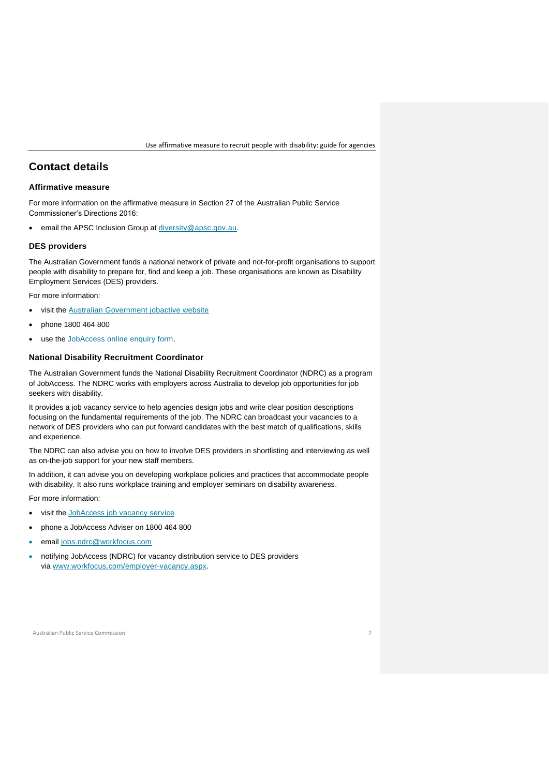# **Contact details**

# **Affirmative measure**

For more information on the affirmative measure in Section 27 of the Australian Public Service Commissioner's Directions 2016:

email the APSC Inclusion Group at [diversity@apsc.gov.au.](mailto:diversity@apsc.gov.au)

#### **DES providers**

The Australian Government funds a national network of private and not-for-profit organisations to support people with disability to prepare for, find and keep a job. These organisations are known as Disability Employment Services (DES) providers.

For more information:

- visit the [Australian Government jobactive website](https://jobsearch.gov.au/serviceproviders/search?jsk=1)
- phone 1800 464 800
- use the [JobAccess online enquiry form.](https://www.jobaccess.gov.au/contacts/online-enquiry-form)

# **National Disability Recruitment Coordinator**

The Australian Government funds the National Disability Recruitment Coordinator (NDRC) as a program of JobAccess. The NDRC works with employers across Australia to develop job opportunities for job seekers with disability.

It provides a job vacancy service to help agencies design jobs and write clear position descriptions focusing on the fundamental requirements of the job. The NDRC can broadcast your vacancies to a network of DES providers who can put forward candidates with the best match of qualifications, skills and experience.

The NDRC can also advise you on how to involve DES providers in shortlisting and interviewing as well as on-the-job support for your new staff members.

In addition, it can advise you on developing workplace policies and practices that accommodate people with disability. It also runs workplace training and employer seminars on disability awareness.

For more information:

- visit the [JobAccess job vacancy service](https://www.jobaccess.gov.au/employers/national-disability-recruitment-coordinator-job-vacancy)
- phone a JobAccess Adviser on 1800 464 800
- email [jobs.ndrc@workfocus.com](mailto:jobs.ndrc@workfocus.com)
- notifying JobAccess (NDRC) for vacancy distribution service to DES providers via [www.workfocus.com/employer-vacancy.aspx.](http://www.workfocus.com/employer-vacancy.aspx)